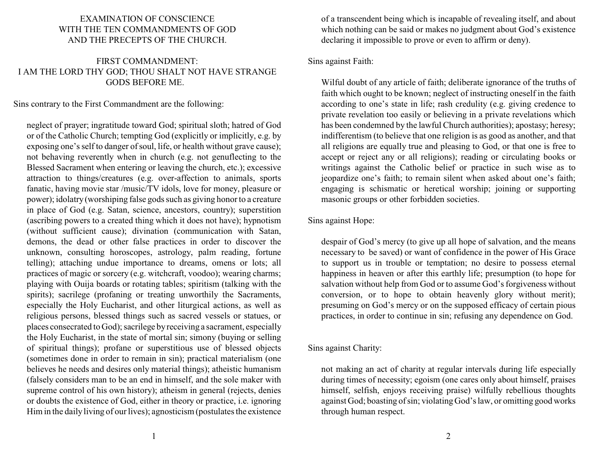## EXAMINATION OF CONSCIENCE WITH THE TEN COMMANDMENTS OF GOD AND THE PRECEPTS OF THE CHURCH.

# FIRST COMMANDMENT: I AM THE LORD THY GOD; THOU SHALT NOT HAVE STRANGE GODS BEFORE ME.

#### Sins contrary to the First Commandment are the following:

neglect of prayer; ingratitude toward God; spiritual sloth; hatred of God or of the Catholic Church; tempting God (explicitly or implicitly, e.g. by exposing one's self to danger of soul, life, or health without grave cause); not behaving reverently when in church (e.g. not genuflecting to the Blessed Sacrament when entering or leaving the church, etc.); excessive attraction to things/creatures (e.g. over-affection to animals, sports fanatic, having movie star /music/TV idols, love for money, pleasure or power); idolatry (worshiping false gods such as giving honor to a creature in place of God (e.g. Satan, science, ancestors, country); superstition (ascribing powers to a created thing which it does not have); hypnotism (without sufficient cause); divination (communication with Satan, demons, the dead or other false practices in order to discover the unknown, consulting horoscopes, astrology, palm reading, fortune telling); attaching undue importance to dreams, omens or lots; all practices of magic or sorcery (e.g. witchcraft, voodoo); wearing charms; playing with Ouija boards or rotating tables; spiritism (talking with the spirits); sacrilege (profaning or treating unworthily the Sacraments, especially the Holy Eucharist, and other liturgical actions, as well as religious persons, blessed things such as sacred vessels or statues, or places consecrated to God); sacrilege by receiving a sacrament, especially the Holy Eucharist, in the state of mortal sin; simony (buying or selling of spiritual things); profane or superstitious use of blessed objects (sometimes done in order to remain in sin); practical materialism (one believes he needs and desires only material things); atheistic humanism (falsely considers man to be an end in himself, and the sole maker with supreme control of his own history); atheism in general (rejects, denies or doubts the existence of God, either in theory or practice, i.e. ignoring Him in the daily living of our lives); agnosticism (postulates the existence

of a transcendent being which is incapable of revealing itself, and about which nothing can be said or makes no judgment about God's existence declaring it impossible to prove or even to affirm or deny).

#### Sins against Faith:

Wilful doubt of any article of faith; deliberate ignorance of the truths of faith which ought to be known; neglect of instructing oneself in the faith according to one's state in life; rash credulity (e.g. giving credence to private revelation too easily or believing in a private revelations which has been condemned by the lawful Church authorities); apostasy; heresy; indifferentism (to believe that one religion is as good as another, and that all religions are equally true and pleasing to God, or that one is free to accept or reject any or all religions); reading or circulating books or writings against the Catholic belief or practice in such wise as to jeopardize one's faith; to remain silent when asked about one's faith; engaging is schismatic or heretical worship; joining or supporting masonic groups or other forbidden societies.

## Sins against Hope:

despair of God's mercy (to give up all hope of salvation, and the means necessary to be saved) or want of confidence in the power of His Grace to support us in trouble or temptation; no desire to possess eternal happiness in heaven or after this earthly life; presumption (to hope for salvation without help from God or to assume God's forgiveness without conversion, or to hope to obtain heavenly glory without merit); presuming on God's mercy or on the supposed efficacy of certain pious practices, in order to continue in sin; refusing any dependence on God.

#### Sins against Charity:

not making an act of charity at regular intervals during life especially during times of necessity; egoism (one cares only about himself, praises himself, selfish, enjoys receiving praise) wilfully rebellious thoughts against God; boasting of sin; violatingGod's law, or omitting good works through human respect.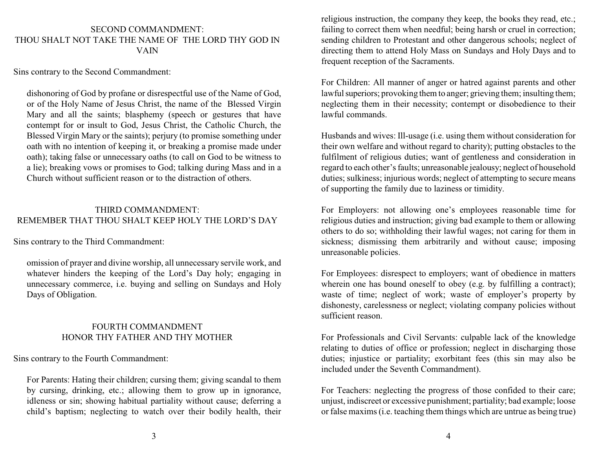### SECOND COMMANDMENT: THOU SHALT NOT TAKE THE NAME OF THE LORD THY GOD IN VAIN

Sins contrary to the Second Commandment:

dishonoring of God by profane or disrespectful use of the Name of God, or of the Holy Name of Jesus Christ, the name of the Blessed Virgin Mary and all the saints; blasphemy (speech or gestures that have contempt for or insult to God, Jesus Christ, the Catholic Church, the Blessed Virgin Mary or the saints); perjury (to promise something under oath with no intention of keeping it, or breaking a promise made under oath); taking false or unnecessary oaths (to call on God to be witness to a lie); breaking vows or promises to God; talking during Mass and in a Church without sufficient reason or to the distraction of others.

## THIRD COMMANDMENT: REMEMBER THAT THOU SHALT KEEP HOLY THE LORD'S DAY

Sins contrary to the Third Commandment:

omission of prayer and divine worship, all unnecessary servile work, and whatever hinders the keeping of the Lord's Day holy; engaging in unnecessary commerce, i.e. buying and selling on Sundays and Holy Days of Obligation.

# FOURTH COMMANDMENT HONOR THY FATHER AND THY MOTHER

Sins contrary to the Fourth Commandment:

For Parents: Hating their children; cursing them; giving scandal to them by cursing, drinking, etc.; allowing them to grow up in ignorance, idleness or sin; showing habitual partiality without cause; deferring a child's baptism; neglecting to watch over their bodily health, their religious instruction, the company they keep, the books they read, etc.; failing to correct them when needful; being harsh or cruel in correction; sending children to Protestant and other dangerous schools; neglect of directing them to attend Holy Mass on Sundays and Holy Days and to frequent reception of the Sacraments.

For Children: All manner of anger or hatred against parents and other lawful superiors; provoking them to anger; grieving them; insulting them; neglecting them in their necessity; contempt or disobedience to their lawful commands.

Husbands and wives: Ill-usage (i.e. using them without consideration for their own welfare and without regard to charity); putting obstacles to the fulfilment of religious duties; want of gentleness and consideration in regard to each other's faults; unreasonable jealousy; neglect of household duties; sulkiness; injurious words; neglect of attempting to secure means of supporting the family due to laziness or timidity.

For Employers: not allowing one's employees reasonable time for religious duties and instruction; giving bad example to them or allowing others to do so; withholding their lawful wages; not caring for them in sickness; dismissing them arbitrarily and without cause; imposing unreasonable policies.

For Employees: disrespect to employers; want of obedience in matters wherein one has bound oneself to obey (e.g. by fulfilling a contract); waste of time; neglect of work; waste of employer's property by dishonesty, carelessness or neglect; violating company policies without sufficient reason.

For Professionals and Civil Servants: culpable lack of the knowledge relating to duties of office or profession; neglect in discharging those duties; injustice or partiality; exorbitant fees (this sin may also be included under the Seventh Commandment).

For Teachers: neglecting the progress of those confided to their care; unjust, indiscreet or excessive punishment; partiality; bad example; loose or false maxims (i.e. teaching them things which are untrue as being true)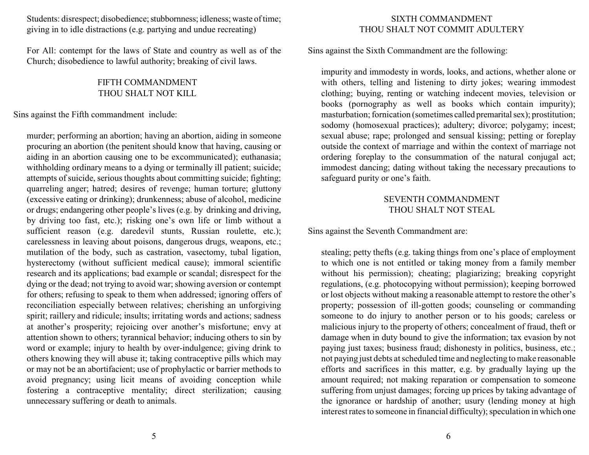Students: disrespect; disobedience; stubbornness; idleness; waste of time; giving in to idle distractions (e.g. partying and undue recreating)

For All: contempt for the laws of State and country as well as of the Church; disobedience to lawful authority; breaking of civil laws.

### FIFTH COMMANDMENT THOU SHALT NOT KILL

Sins against the Fifth commandment include:

murder; performing an abortion; having an abortion, aiding in someone procuring an abortion (the penitent should know that having, causing or aiding in an abortion causing one to be excommunicated); euthanasia; withholding ordinary means to a dying or terminally ill patient; suicide; attempts of suicide, serious thoughts about committing suicide; fighting; quarreling anger; hatred; desires of revenge; human torture; gluttony (excessive eating or drinking); drunkenness; abuse of alcohol, medicine or drugs; endangering other people's lives (e.g. by drinking and driving, by driving too fast, etc.); risking one's own life or limb without a sufficient reason (e.g. daredevil stunts, Russian roulette, etc.); carelessness in leaving about poisons, dangerous drugs, weapons, etc.; mutilation of the body, such as castration, vasectomy, tubal ligation, hysterectomy (without sufficient medical cause); immoral scientific research and its applications; bad example or scandal; disrespect for the dying or the dead; not trying to avoid war; showing aversion or contempt for others; refusing to speak to them when addressed; ignoring offers of reconciliation especially between relatives; cherishing an unforgiving spirit; raillery and ridicule; insults; irritating words and actions; sadness at another's prosperity; rejoicing over another's misfortune; envy at attention shown to others; tyrannical behavior; inducing others to sin by word or example; injury to health by over-indulgence; giving drink to others knowing they will abuse it; taking contraceptive pills which may or may not be an abortifacient; use of prophylactic or barrier methods to avoid pregnancy; using licit means of avoiding conception while fostering a contraceptive mentality; direct sterilization; causing unnecessary suffering or death to animals.

#### SIXTH COMMANDMENT THOU SHALT NOT COMMIT ADULTERY

#### Sins against the Sixth Commandment are the following:

impurity and immodesty in words, looks, and actions, whether alone or with others, telling and listening to dirty jokes; wearing immodest clothing; buying, renting or watching indecent movies, television or books (pornography as well as books which contain impurity); masturbation; fornication (sometimes called premarital sex); prostitution; sodomy (homosexual practices); adultery; divorce; polygamy; incest; sexual abuse; rape; prolonged and sensual kissing; petting or foreplay outside the context of marriage and within the context of marriage not ordering foreplay to the consummation of the natural conjugal act; immodest dancing; dating without taking the necessary precautions to safeguard purity or one's faith.

# SEVENTH COMMANDMENT THOU SHALT NOT STEAL

Sins against the Seventh Commandment are:

stealing; petty thefts (e.g. taking things from one's place of employment to which one is not entitled or taking money from a family member without his permission); cheating; plagiarizing; breaking copyright regulations, (e.g. photocopying without permission); keeping borrowed or lost objects without making a reasonable attempt to restore the other's property; possession of ill-gotten goods; counseling or commanding someone to do injury to another person or to his goods; careless or malicious injury to the property of others; concealment of fraud, theft or damage when in duty bound to give the information; tax evasion by not paying just taxes; business fraud; dishonesty in politics, business, etc.; not paying just debts atscheduled time and neglecting to make reasonable efforts and sacrifices in this matter, e.g. by gradually laying up the amount required; not making reparation or compensation to someone suffering from unjust damages; forcing up prices by taking advantage of the ignorance or hardship of another; usury (lending money at high interest rates to someone in financial difficulty); speculation in which one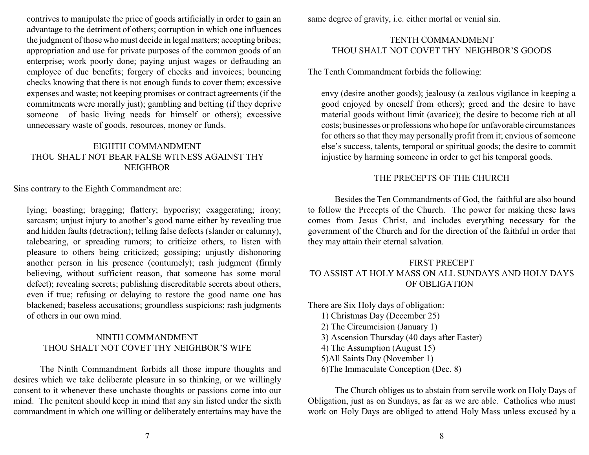contrives to manipulate the price of goods artificially in order to gain an advantage to the detriment of others; corruption in which one influences the judgment of those who must decide in legal matters; accepting bribes; appropriation and use for private purposes of the common goods of an enterprise; work poorly done; paying unjust wages or defrauding an employee of due benefits; forgery of checks and invoices; bouncing checks knowing that there is not enough funds to cover them; excessive expenses and waste; not keeping promises or contract agreements (if the commitments were morally just); gambling and betting (if they deprive someone of basic living needs for himself or others); excessive unnecessary waste of goods, resources, money or funds.

## EIGHTH COMMANDMENT THOU SHALT NOT BEAR FALSE WITNESS AGAINST THY **NEIGHBOR**

Sins contrary to the Eighth Commandment are:

lying; boasting; bragging; flattery; hypocrisy; exaggerating; irony; sarcasm; unjust injury to another's good name either by revealing true and hidden faults (detraction); telling false defects (slander or calumny), talebearing, or spreading rumors; to criticize others, to listen with pleasure to others being criticized; gossiping; unjustly dishonoring another person in his presence (contumely); rash judgment (firmly believing, without sufficient reason, that someone has some moral defect); revealing secrets; publishing discreditable secrets about others, even if true; refusing or delaying to restore the good name one has blackened; baseless accusations; groundless suspicions; rash judgments of others in our own mind.

### NINTH COMMANDMENT THOU SHALT NOT COVET THY NEIGHBOR'S WIFE

The Ninth Commandment forbids all those impure thoughts and desires which we take deliberate pleasure in so thinking, or we willingly consent to it whenever these unchaste thoughts or passions come into our mind. The penitent should keep in mind that any sin listed under the sixth commandment in which one willing or deliberately entertains may have the same degree of gravity, i.e. either mortal or venial sin.

# TENTH COMMANDMENT THOU SHALT NOT COVET THY NEIGHBOR'S GOODS

The Tenth Commandment forbids the following:

envy (desire another goods); jealousy (a zealous vigilance in keeping a good enjoyed by oneself from others); greed and the desire to have material goods without limit (avarice); the desire to become rich at all costs; businesses or professions who hope for unfavorable circumstances for others so that they may personally profit from it; envious of someone else's success, talents, temporal or spiritual goods; the desire to commit injustice by harming someone in order to get his temporal goods.

#### THE PRECEPTS OF THE CHURCH

Besides the Ten Commandments of God, the faithful are also bound to follow the Precepts of the Church. The power for making these laws comes from Jesus Christ, and includes everything necessary for the government of the Church and for the direction of the faithful in order that they may attain their eternal salvation.

# FIRST PRECEPT TO ASSIST AT HOLY MASS ON ALL SUNDAYS AND HOLY DAYS OF OBLIGATION

There are Six Holy days of obligation:

- 1) Christmas Day (December 25)
- 2) The Circumcision (January 1)
- 3) Ascension Thursday (40 days after Easter)
- 4) The Assumption (August 15)
- 5)All Saints Day (November 1)
- 6)The Immaculate Conception (Dec. 8)

The Church obliges us to abstain from servile work on Holy Days of Obligation, just as on Sundays, as far as we are able. Catholics who must work on Holy Days are obliged to attend Holy Mass unless excused by a